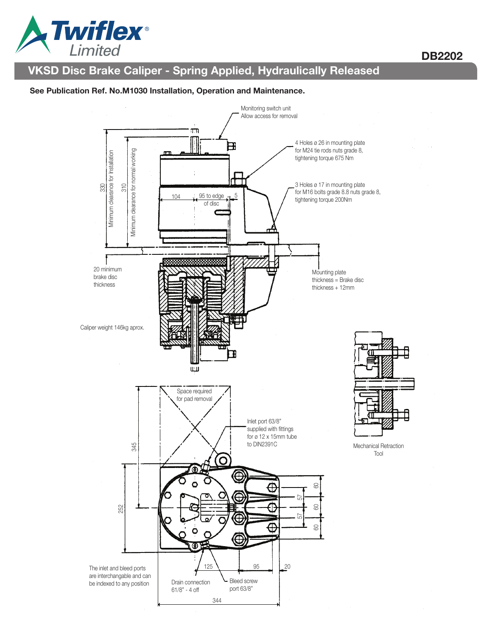

## DB2202

# VKSD Disc Brake Caliper - Spring Applied, Hydraulically Released

#### See Publication Ref. No.M1030 Installation, Operation and Maintenance.